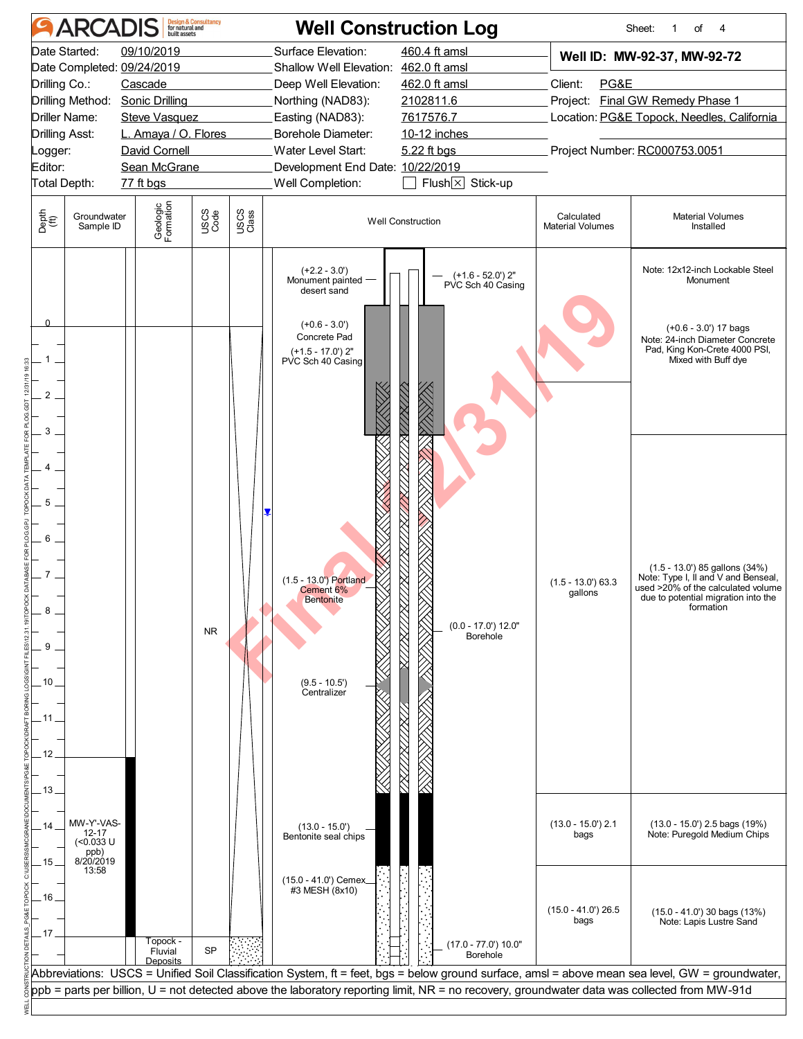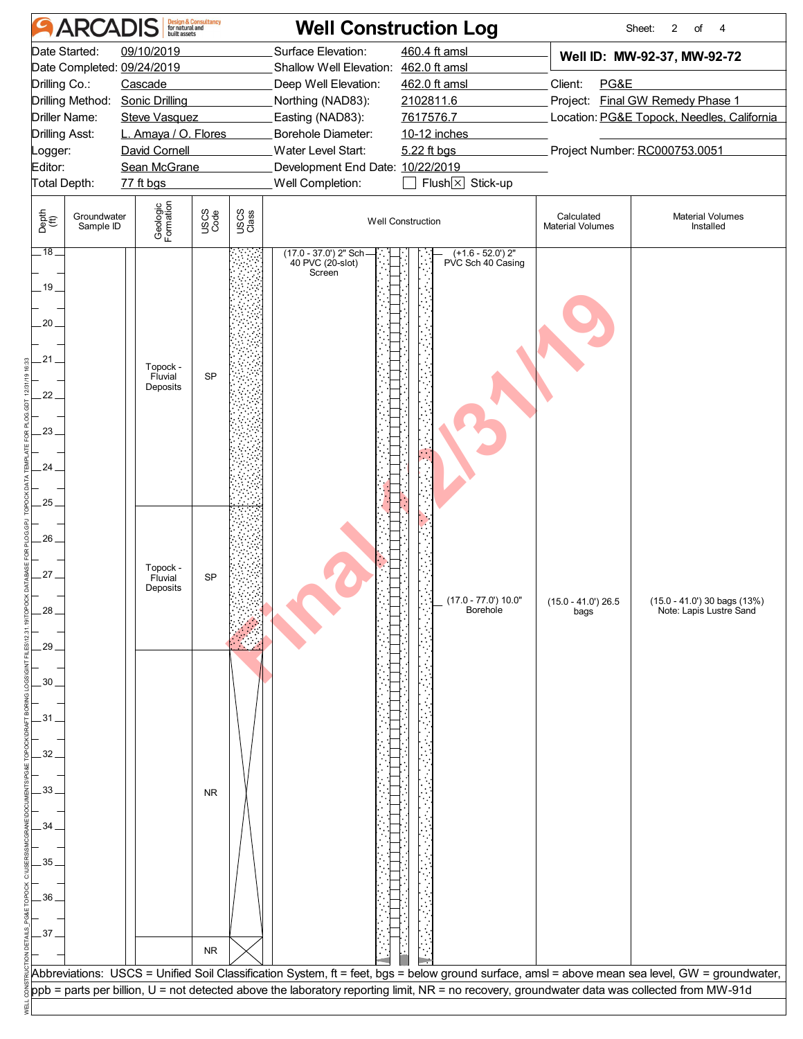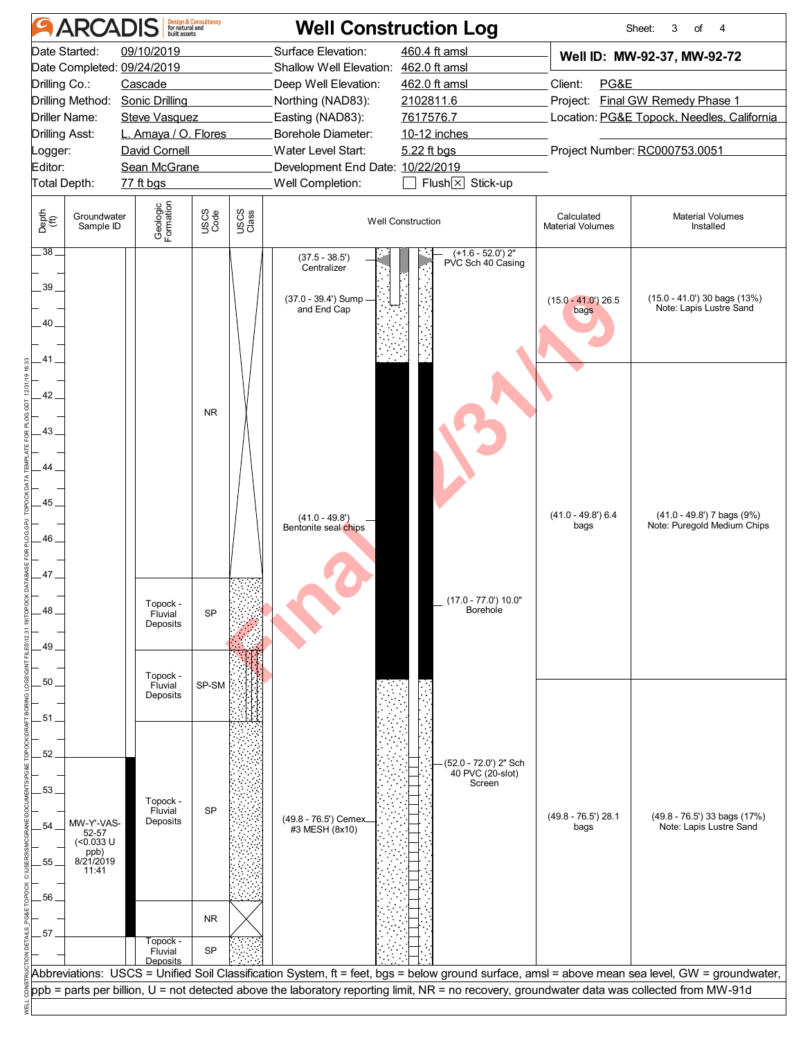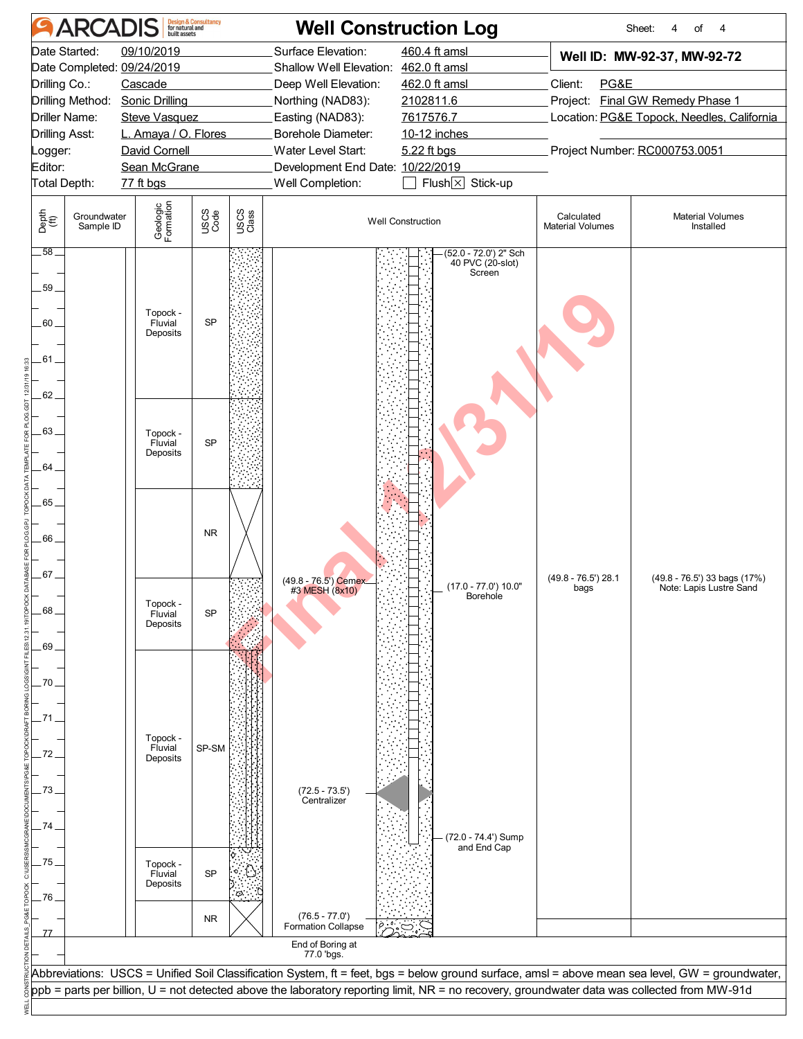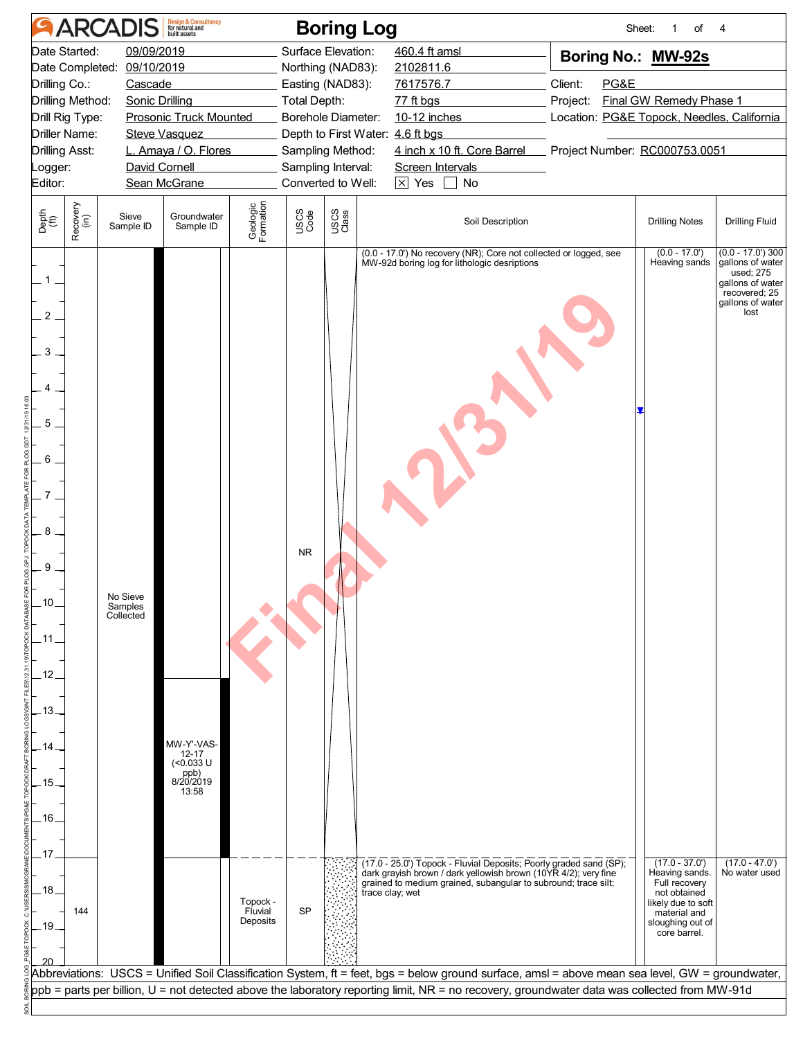| Date Started:<br>Date Completed:<br>Drilling Co.:<br>Drilling Method:<br>Drill Rig Type:<br><b>Driller Name:</b><br><b>Drilling Asst:</b><br>Logger:<br>Editor:<br>Recovery<br>(in)<br>Depth<br>(ft)<br>$\overline{c}$<br>3<br>4 | 09/09/2019<br>09/10/2019<br>Cascade<br><b>Sonic Drilling</b><br>David Cornell<br>Sieve<br>Sample ID | <b>Prosonic Truck Mounted</b><br><b>Steve Vasquez</b><br>L. Amaya / O. Flores<br>Sean McGrane<br>Groundwater<br>Sample ID | Geologic<br>Formation           | <b>Total Depth:</b><br>USCS<br>Code | Surface Elevation:<br>Northing (NAD83):<br>Easting (NAD83):<br>Borehole Diameter:<br>Depth to First Water: 4.6 ft bgs<br>Sampling Method:<br>Sampling Interval:<br>Converted to Well:<br>USCS<br>Class | 460.4 ft amsl<br>2102811.6<br>7617576.7<br>77 ft bgs<br>10-12 inches<br>4 inch x 10 ft. Core Barrel Project Number: RC000753.0051<br>Screen Intervals<br>$\boxed{\times}$ Yes<br>No<br>$\blacksquare$<br>Soil Description<br>(0.0 - 17.0') No recovery (NR); Core not collected or logged, see<br>MW-92d boring log for lithologic desriptions | Boring No.: MW-92s<br>Client:<br>PG&E<br>Project:<br>Location: PG&E Topock, Needles, California | Final GW Remedy Phase 1<br><b>Drilling Notes</b>                                                                                                                                 | <b>Drilling Fluid</b>                                                                                                                                     |
|----------------------------------------------------------------------------------------------------------------------------------------------------------------------------------------------------------------------------------|-----------------------------------------------------------------------------------------------------|---------------------------------------------------------------------------------------------------------------------------|---------------------------------|-------------------------------------|--------------------------------------------------------------------------------------------------------------------------------------------------------------------------------------------------------|------------------------------------------------------------------------------------------------------------------------------------------------------------------------------------------------------------------------------------------------------------------------------------------------------------------------------------------------|-------------------------------------------------------------------------------------------------|----------------------------------------------------------------------------------------------------------------------------------------------------------------------------------|-----------------------------------------------------------------------------------------------------------------------------------------------------------|
|                                                                                                                                                                                                                                  |                                                                                                     |                                                                                                                           |                                 |                                     |                                                                                                                                                                                                        |                                                                                                                                                                                                                                                                                                                                                |                                                                                                 |                                                                                                                                                                                  |                                                                                                                                                           |
|                                                                                                                                                                                                                                  |                                                                                                     |                                                                                                                           |                                 |                                     |                                                                                                                                                                                                        |                                                                                                                                                                                                                                                                                                                                                |                                                                                                 |                                                                                                                                                                                  |                                                                                                                                                           |
| 5<br>6<br>8<br>9<br>.10.<br>.11<br>12<br>$-13.$<br>14<br>.15.<br>.16.<br>.17<br>.18.<br>144<br>.19.                                                                                                                              | No Sieve<br>Samples<br>Collected                                                                    | MW-Y'-VAS-<br>12-17<br>(<0.033 U<br>ppb)<br>8/20/2019<br>13:58                                                            | Topock -<br>Fluvial<br>Deposits | <b>NR</b><br><b>SP</b>              |                                                                                                                                                                                                        | (17.0 - 25.0') Topock - Fluvial Deposits; Poorly graded sand (SP);<br>dark grayish brown / dark yellowish brown (10YR 4/2); very fine<br>grained to medium grained, subangular to subround; trace silt;<br>trace clay; wet                                                                                                                     |                                                                                                 | $(0.0 - 17.0')$<br>Heaving sands<br>$(17.0 - 37.0)$<br>Heaving sands.<br>Full recovery<br>not obtained<br>likely due to soft<br>material and<br>sloughing out of<br>core barrel. | $(0.0 - 17.0)$ 300<br>gallons of water<br>used; 275<br>gallons of water<br>recovered; 25<br>gallons of water<br>lost<br>$(17.0 - 47.0')$<br>No water used |
|                                                                                                                                                                                                                                  |                                                                                                     |                                                                                                                           |                                 |                                     |                                                                                                                                                                                                        | Abbreviations: USCS = Unified Soil Classification System, ft = feet, bgs = below ground surface, amsl = above mean sea level, GW = groundwater,                                                                                                                                                                                                |                                                                                                 |                                                                                                                                                                                  |                                                                                                                                                           |
|                                                                                                                                                                                                                                  |                                                                                                     |                                                                                                                           |                                 |                                     |                                                                                                                                                                                                        | ppb = parts per billion, U = not detected above the laboratory reporting limit, NR = no recovery, groundwater data was collected from MW-91d                                                                                                                                                                                                   |                                                                                                 |                                                                                                                                                                                  |                                                                                                                                                           |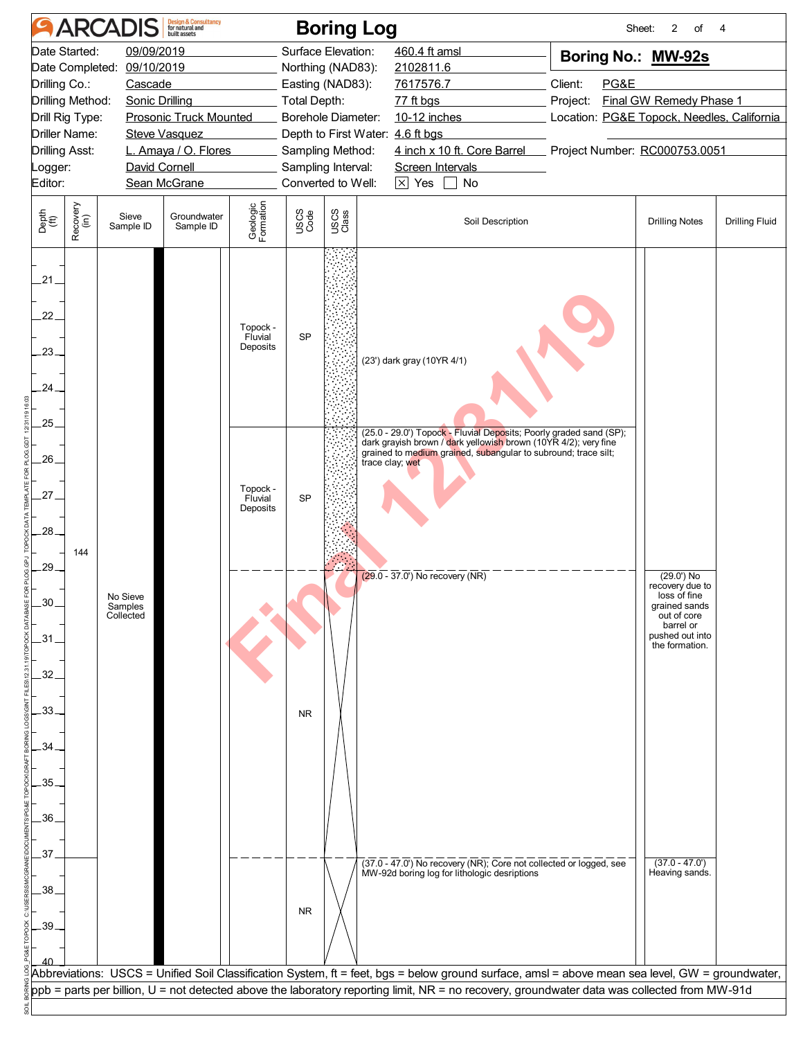| 09/09/2019<br>Surface Elevation:<br>460.4 ft amsl<br>Boring No.: MW-92s<br>09/10/2019<br>Northing (NAD83):<br>2102811.6<br>7617576.7<br>Client:<br>PG&E<br>Cascade<br>Easting (NAD83):<br>Final GW Remedy Phase 1<br><b>Sonic Drilling</b><br><b>Total Depth:</b><br>77 ft bgs<br>Project:<br><b>Prosonic Truck Mounted</b><br>Borehole Diameter:<br>10-12 inches<br>Location: PG&E Topock, Needles, California<br>Depth to First Water: 4.6 ft bgs<br><b>Steve Vasquez</b><br>4 inch x 10 ft. Core Barrel<br>Project Number: RC000753.0051<br>L. Amaya / O. Flores<br>Sampling Method:<br>David Cornell<br>Sampling Interval:<br>Screen Intervals<br>Sean McGrane<br>Converted to Well:<br>$\boxed{\times}$ Yes $\boxed{\phantom{0}}$ No<br>Geologic<br>Formation<br>Recovery<br>(in)<br>USCS<br>Code<br>USCS<br>Class<br>Depth<br>(ft)<br>Groundwater<br>Sieve<br>Soil Description<br><b>Drilling Notes</b><br><b>Drilling Fluid</b><br>Sample ID<br>Sample ID<br>21<br>22.<br>Topock -<br><b>SP</b><br>Fluvial<br>Deposits<br>23.<br>(23') dark gray (10YR 4/1)<br>.24.<br>.25<br>(25.0 - 29.0') Topock - Fluvial Deposits; Poorly graded sand (SP);<br>dark grayish brown / dark yellowish brown (10YR 4/2); very fine<br>grained to medium grained, subangular to subround; trace silt;<br>26.<br>trace clay; wet<br>Topock -<br>27.<br><b>SP</b><br>Fluvial<br>Deposits<br>28.<br>144<br>29.<br>$(29.0 - 37.0)$ No recovery (NR)<br>$(29.0)$ No<br>recovery due to<br>loss of fine<br>No Sieve<br>30<br>grained sands<br>Samples<br>out of core<br>Collected<br>barrel or<br>pushed out into<br>$-31$<br>the formation.<br>.32<br>33<br><b>NR</b><br>.34<br>$-35.$<br>.36<br>.37<br>$(37.0 - 47.0')$<br>(37.0 - 47.0') No recovery (NR); Core not collected or logged, see<br>Heaving sands.<br>MW-92d boring log for lithologic desriptions<br>.38<br><b>NR</b><br>.39<br>Abbreviations: USCS = Unified Soil Classification System, ft = feet, bgs = below ground surface, amsl = above mean sea level, GW = groundwater,<br>ppb = parts per billion, U = not detected above the laboratory reporting limit, NR = no recovery, groundwater data was collected from MW-91d |                                                                                                                                                                 |  | <b>ARCADIS</b> | <b>Design &amp; Consultancy</b><br>for natural and |  |  | <b>Boring Log</b> |  | Sheet:<br>2<br>of | 4 |
|----------------------------------------------------------------------------------------------------------------------------------------------------------------------------------------------------------------------------------------------------------------------------------------------------------------------------------------------------------------------------------------------------------------------------------------------------------------------------------------------------------------------------------------------------------------------------------------------------------------------------------------------------------------------------------------------------------------------------------------------------------------------------------------------------------------------------------------------------------------------------------------------------------------------------------------------------------------------------------------------------------------------------------------------------------------------------------------------------------------------------------------------------------------------------------------------------------------------------------------------------------------------------------------------------------------------------------------------------------------------------------------------------------------------------------------------------------------------------------------------------------------------------------------------------------------------------------------------------------------------------------------------------------------------------------------------------------------------------------------------------------------------------------------------------------------------------------------------------------------------------------------------------------------------------------------------------------------------------------------------------------------------------------------------------------------------------------------------------------------------------------------------------------------------------------|-----------------------------------------------------------------------------------------------------------------------------------------------------------------|--|----------------|----------------------------------------------------|--|--|-------------------|--|-------------------|---|
|                                                                                                                                                                                                                                                                                                                                                                                                                                                                                                                                                                                                                                                                                                                                                                                                                                                                                                                                                                                                                                                                                                                                                                                                                                                                                                                                                                                                                                                                                                                                                                                                                                                                                                                                                                                                                                                                                                                                                                                                                                                                                                                                                                                  | Date Started:<br>Date Completed:<br>Drilling Co.:<br>Drilling Method:<br>Drill Rig Type:<br><b>Driller Name:</b><br><b>Drilling Asst:</b><br>_ogger:<br>Editor: |  |                |                                                    |  |  |                   |  |                   |   |
|                                                                                                                                                                                                                                                                                                                                                                                                                                                                                                                                                                                                                                                                                                                                                                                                                                                                                                                                                                                                                                                                                                                                                                                                                                                                                                                                                                                                                                                                                                                                                                                                                                                                                                                                                                                                                                                                                                                                                                                                                                                                                                                                                                                  |                                                                                                                                                                 |  |                |                                                    |  |  |                   |  |                   |   |
|                                                                                                                                                                                                                                                                                                                                                                                                                                                                                                                                                                                                                                                                                                                                                                                                                                                                                                                                                                                                                                                                                                                                                                                                                                                                                                                                                                                                                                                                                                                                                                                                                                                                                                                                                                                                                                                                                                                                                                                                                                                                                                                                                                                  |                                                                                                                                                                 |  |                |                                                    |  |  |                   |  |                   |   |
|                                                                                                                                                                                                                                                                                                                                                                                                                                                                                                                                                                                                                                                                                                                                                                                                                                                                                                                                                                                                                                                                                                                                                                                                                                                                                                                                                                                                                                                                                                                                                                                                                                                                                                                                                                                                                                                                                                                                                                                                                                                                                                                                                                                  |                                                                                                                                                                 |  |                |                                                    |  |  |                   |  |                   |   |
|                                                                                                                                                                                                                                                                                                                                                                                                                                                                                                                                                                                                                                                                                                                                                                                                                                                                                                                                                                                                                                                                                                                                                                                                                                                                                                                                                                                                                                                                                                                                                                                                                                                                                                                                                                                                                                                                                                                                                                                                                                                                                                                                                                                  |                                                                                                                                                                 |  |                |                                                    |  |  |                   |  |                   |   |
|                                                                                                                                                                                                                                                                                                                                                                                                                                                                                                                                                                                                                                                                                                                                                                                                                                                                                                                                                                                                                                                                                                                                                                                                                                                                                                                                                                                                                                                                                                                                                                                                                                                                                                                                                                                                                                                                                                                                                                                                                                                                                                                                                                                  |                                                                                                                                                                 |  |                |                                                    |  |  |                   |  |                   |   |
|                                                                                                                                                                                                                                                                                                                                                                                                                                                                                                                                                                                                                                                                                                                                                                                                                                                                                                                                                                                                                                                                                                                                                                                                                                                                                                                                                                                                                                                                                                                                                                                                                                                                                                                                                                                                                                                                                                                                                                                                                                                                                                                                                                                  |                                                                                                                                                                 |  |                |                                                    |  |  |                   |  |                   |   |
|                                                                                                                                                                                                                                                                                                                                                                                                                                                                                                                                                                                                                                                                                                                                                                                                                                                                                                                                                                                                                                                                                                                                                                                                                                                                                                                                                                                                                                                                                                                                                                                                                                                                                                                                                                                                                                                                                                                                                                                                                                                                                                                                                                                  |                                                                                                                                                                 |  |                |                                                    |  |  |                   |  |                   |   |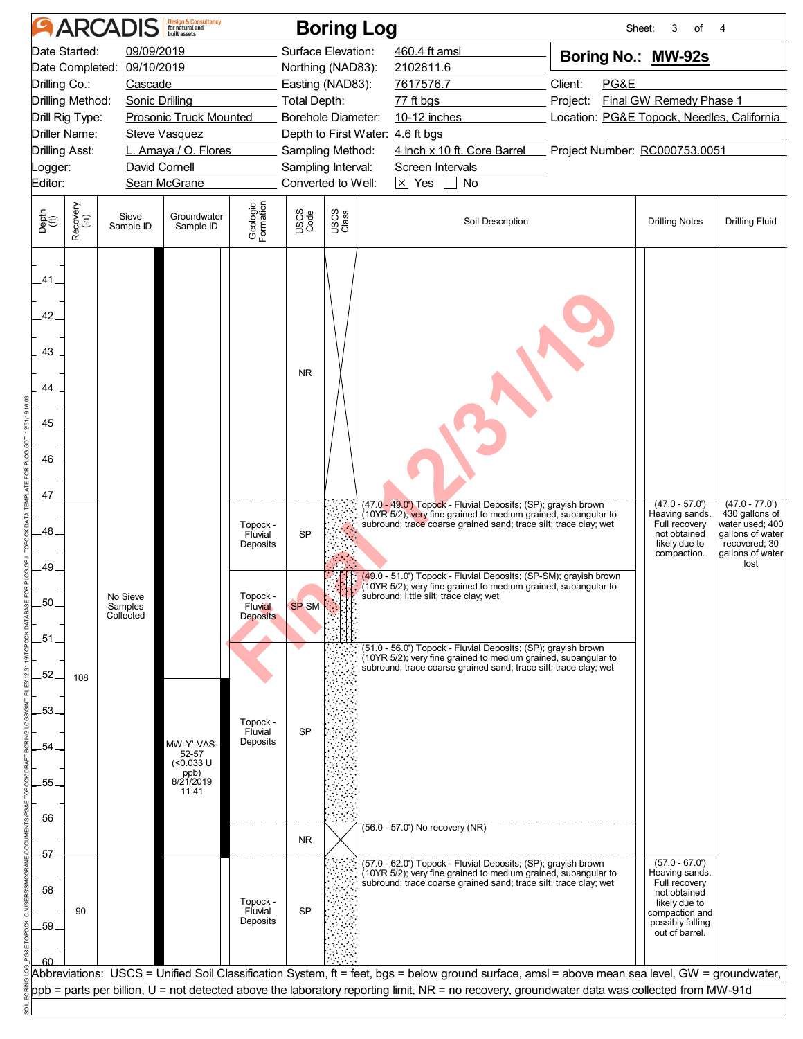|                                                                                                                                                                 | <b>ARCADIS</b>                                                         | <b>Design &amp; Consultancy</b><br>for natural and                                            |                                                                                                              |                                              | <b>Boring Log</b>                                                                                                                                                                     |                                                                                                                                                                                                                                                                                                                                                                                                                                                                                                                                                                                                                               |                                                                                                                                                                    | 3<br>of<br>Sheet:                                                                                                                            | 4                                                                                                                      |
|-----------------------------------------------------------------------------------------------------------------------------------------------------------------|------------------------------------------------------------------------|-----------------------------------------------------------------------------------------------|--------------------------------------------------------------------------------------------------------------|----------------------------------------------|---------------------------------------------------------------------------------------------------------------------------------------------------------------------------------------|-------------------------------------------------------------------------------------------------------------------------------------------------------------------------------------------------------------------------------------------------------------------------------------------------------------------------------------------------------------------------------------------------------------------------------------------------------------------------------------------------------------------------------------------------------------------------------------------------------------------------------|--------------------------------------------------------------------------------------------------------------------------------------------------------------------|----------------------------------------------------------------------------------------------------------------------------------------------|------------------------------------------------------------------------------------------------------------------------|
| Date Started:<br>Date Completed:<br>Drilling Co.:<br>Drilling Method:<br>Drill Rig Type:<br><b>Driller Name:</b><br><b>Drilling Asst:</b><br>Logger:<br>Editor: | 09/09/2019<br>09/10/2019<br>Cascade<br>Sonic Drilling<br>David Cornell | <b>Prosonic Truck Mounted</b><br><b>Steve Vasquez</b><br>L. Amaya / O. Flores<br>Sean McGrane |                                                                                                              | <b>Total Depth:</b>                          | Surface Elevation:<br>Northing (NAD83):<br>Easting (NAD83):<br>Borehole Diameter:<br>Depth to First Water: 4.6 ft bgs<br>Sampling Method:<br>Sampling Interval:<br>Converted to Well: | 460.4 ft amsl<br>2102811.6<br>7617576.7<br>77 ft bgs<br>10-12 inches<br>4 inch x 10 ft. Core Barrel<br>Screen Intervals<br>$\boxed{\times}$ Yes<br>$\Box$ No                                                                                                                                                                                                                                                                                                                                                                                                                                                                  | Boring No.: MW-92s<br>Client:<br>PG&E<br><b>Final GW Remedy Phase 1</b><br>Project:<br>Location: PG&E Topock, Needles, California<br>Project Number: RC000753.0051 |                                                                                                                                              |                                                                                                                        |
| Recovery<br>(in)<br>Depth<br>(ft)                                                                                                                               | Sieve<br>Sample ID                                                     | Groundwater<br>Sample ID                                                                      | Geologic<br>Formation                                                                                        | USCS<br>Code                                 | USCS<br>Class                                                                                                                                                                         | Soil Description                                                                                                                                                                                                                                                                                                                                                                                                                                                                                                                                                                                                              |                                                                                                                                                                    | <b>Drilling Notes</b>                                                                                                                        | <b>Drilling Fluid</b>                                                                                                  |
| .41<br>42<br>.43<br>44<br>.45<br>.46<br>47<br>.48<br>.49<br>.50<br>.51<br>52<br>108<br>53.<br>54<br>.55.<br>.56.                                                | No Sieve<br>Samples<br>Collected                                       | MW-Y'-VAS-<br>52-57<br>$(0.033 \text{ U}$<br>ppb)<br>8/21/2019<br>11:41                       | Topock -<br>Fluvial<br>Deposits<br>Topock -<br>Fluvial<br><b>Deposits</b><br>Topock -<br>Fluvial<br>Deposits | <b>NR</b><br><b>SP</b><br>SP-SM<br><b>SP</b> |                                                                                                                                                                                       | (47.0 - 49.0') Topock - Fluvial Deposits; (SP); grayish brown<br>(10YR 5/2); very fine grained to medium grained, subangular to<br>subround; trace coarse grained sand; trace silt; trace clay; wet<br>(49.0 - 51.0') Topock - Fluvial Deposits; (SP-SM); grayish brown<br>(10YR 5/2); very fine grained to medium grained, subangular to<br>subround: little silt: trace clay: wet<br>(51.0 - 56.0') Topock - Fluvial Deposits; (SP); grayish brown<br>(10YR 5/2); very fine grained to medium grained, subangular to<br>subround; trace coarse grained sand; trace silt; trace clay; wet<br>(56.0 - 57.0') No recovery (NR) |                                                                                                                                                                    | $(47.0 - 57.0)$<br>Heaving sands.<br>Full recovery<br>not obtained<br>likely due to<br>compaction.                                           | $(47.0 - 77.0')$<br>430 gallons of<br>water used: 400<br>gallons of water<br>recovered; 30<br>gallons of water<br>lost |
| 57<br>.58<br>90<br>.59                                                                                                                                          |                                                                        |                                                                                               | Topock -<br>Fluvial<br>Deposits                                                                              | <b>NR</b><br><b>SP</b>                       |                                                                                                                                                                                       | (57.0 - 62.0') Topock - Fluvial Deposits; (SP); grayish brown<br>(10YR 5/2); very fine grained to medium grained, subangular to<br>subround; trace coarse grained sand; trace silt; trace clay; wet                                                                                                                                                                                                                                                                                                                                                                                                                           |                                                                                                                                                                    | $(57.0 - 67.0')$<br>Heaving sands.<br>Full recovery<br>not obtained<br>likely due to<br>compaction and<br>possibly falling<br>out of barrel. |                                                                                                                        |
|                                                                                                                                                                 |                                                                        |                                                                                               |                                                                                                              |                                              |                                                                                                                                                                                       | Abbreviations: USCS = Unified Soil Classification System, ft = feet, bgs = below ground surface, amsl = above mean sea level, GW = groundwater,<br>ppb = parts per billion, U = not detected above the laboratory reporting limit, NR = no recovery, groundwater data was collected from MW-91d                                                                                                                                                                                                                                                                                                                               |                                                                                                                                                                    |                                                                                                                                              |                                                                                                                        |